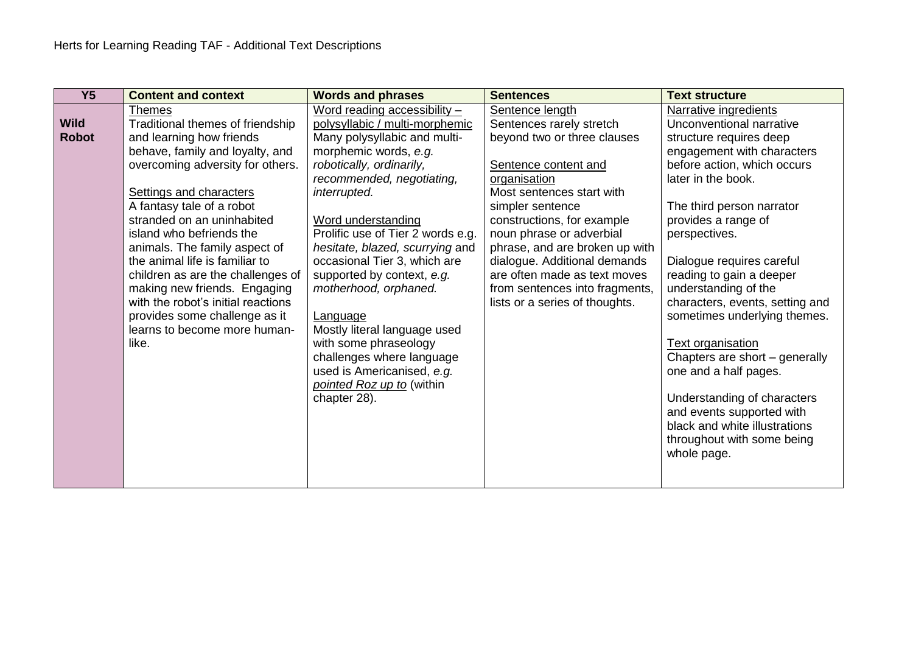| $\overline{Y5}$             | <b>Content and context</b>                                                                                                                                                                                                                                                                                                                                                                                                                                                                                                     | <b>Words and phrases</b>                                                                                                                                                                                                                                                                                                                                                                                                                                                                                                                                             | <b>Sentences</b>                                                                                                                                                                                                                                                                                                                                                                                    | <b>Text structure</b>                                                                                                                                                                                                                                                                                                                                                                                                                                                                                                                                                                                                     |
|-----------------------------|--------------------------------------------------------------------------------------------------------------------------------------------------------------------------------------------------------------------------------------------------------------------------------------------------------------------------------------------------------------------------------------------------------------------------------------------------------------------------------------------------------------------------------|----------------------------------------------------------------------------------------------------------------------------------------------------------------------------------------------------------------------------------------------------------------------------------------------------------------------------------------------------------------------------------------------------------------------------------------------------------------------------------------------------------------------------------------------------------------------|-----------------------------------------------------------------------------------------------------------------------------------------------------------------------------------------------------------------------------------------------------------------------------------------------------------------------------------------------------------------------------------------------------|---------------------------------------------------------------------------------------------------------------------------------------------------------------------------------------------------------------------------------------------------------------------------------------------------------------------------------------------------------------------------------------------------------------------------------------------------------------------------------------------------------------------------------------------------------------------------------------------------------------------------|
| <b>Wild</b><br><b>Robot</b> | <b>Themes</b><br>Traditional themes of friendship<br>and learning how friends<br>behave, family and loyalty, and<br>overcoming adversity for others.<br>Settings and characters<br>A fantasy tale of a robot<br>stranded on an uninhabited<br>island who befriends the<br>animals. The family aspect of<br>the animal life is familiar to<br>children as are the challenges of<br>making new friends. Engaging<br>with the robot's initial reactions<br>provides some challenge as it<br>learns to become more human-<br>like. | Word reading accessibility $-$<br>polysyllabic / multi-morphemic<br>Many polysyllabic and multi-<br>morphemic words, e.g.<br>robotically, ordinarily,<br>recommended, negotiating,<br>interrupted.<br>Word understanding<br>Prolific use of Tier 2 words e.g.<br>hesitate, blazed, scurrying and<br>occasional Tier 3, which are<br>supported by context, e.g.<br>motherhood, orphaned.<br>Language<br>Mostly literal language used<br>with some phraseology<br>challenges where language<br>used is Americanised, e.g.<br>pointed Roz up to (within<br>chapter 28). | Sentence length<br>Sentences rarely stretch<br>beyond two or three clauses<br>Sentence content and<br>organisation<br>Most sentences start with<br>simpler sentence<br>constructions, for example<br>noun phrase or adverbial<br>phrase, and are broken up with<br>dialogue. Additional demands<br>are often made as text moves<br>from sentences into fragments,<br>lists or a series of thoughts. | Narrative ingredients<br>Unconventional narrative<br>structure requires deep<br>engagement with characters<br>before action, which occurs<br>later in the book.<br>The third person narrator<br>provides a range of<br>perspectives.<br>Dialogue requires careful<br>reading to gain a deeper<br>understanding of the<br>characters, events, setting and<br>sometimes underlying themes.<br><b>Text organisation</b><br>Chapters are short - generally<br>one and a half pages.<br>Understanding of characters<br>and events supported with<br>black and white illustrations<br>throughout with some being<br>whole page. |